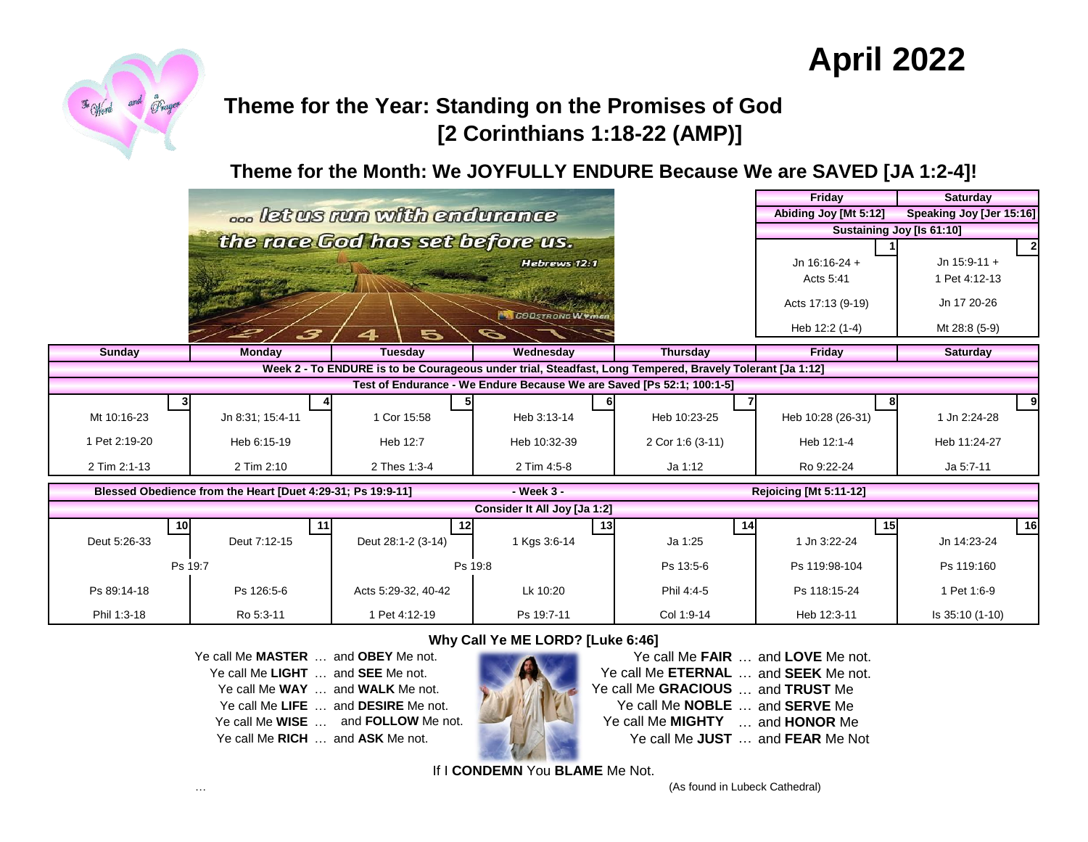



# **Theme for the Year: Standing on the Promises of God [2 Corinthians 1:18-22 (AMP)]**

**Theme for the Month: We JOYFULLY ENDURE Because We are SAVED [JA 1:2-4]!**

|                                                                                                          |                  |                     |                            | <b>Friday</b>                 | <b>Saturday</b>       |                          |  |  |  |  |
|----------------------------------------------------------------------------------------------------------|------------------|---------------------|----------------------------|-------------------------------|-----------------------|--------------------------|--|--|--|--|
| let us run with endurance                                                                                |                  |                     |                            |                               | Abiding Joy [Mt 5:12] | Speaking Joy [Jer 15:16] |  |  |  |  |
|                                                                                                          |                  |                     |                            | Sustaining Joy [Is 61:10]     |                       |                          |  |  |  |  |
| the race God has set before us.                                                                          |                  |                     |                            |                               |                       |                          |  |  |  |  |
|                                                                                                          |                  |                     | Hebrews 12:1               |                               | Jn $16:16-24 +$       | Jn $15:9-11 +$           |  |  |  |  |
|                                                                                                          |                  |                     |                            |                               | Acts 5:41             | 1 Pet 4:12-13            |  |  |  |  |
|                                                                                                          |                  |                     |                            |                               | Acts 17:13 (9-19)     | Jn 17 20-26              |  |  |  |  |
|                                                                                                          |                  |                     | <b>18 CODSTRONG WY men</b> |                               |                       |                          |  |  |  |  |
|                                                                                                          | 3                | 5<br>4              | $\epsilon$                 |                               | Heb 12:2 (1-4)        | Mt 28:8 (5-9)            |  |  |  |  |
| <b>Sunday</b>                                                                                            | <b>Monday</b>    | <b>Tuesday</b>      | Wednesday                  | <b>Thursday</b>               | Friday                | <b>Saturday</b>          |  |  |  |  |
| Week 2 - To ENDURE is to be Courageous under trial, Steadfast, Long Tempered, Bravely Tolerant [Ja 1:12] |                  |                     |                            |                               |                       |                          |  |  |  |  |
| Test of Endurance - We Endure Because We are Saved [Ps 52:1; 100:1-5]                                    |                  |                     |                            |                               |                       |                          |  |  |  |  |
|                                                                                                          |                  |                     |                            |                               |                       |                          |  |  |  |  |
| Mt 10:16-23                                                                                              | Jn 8:31; 15:4-11 | 1 Cor 15:58         | Heb 3:13-14                | Heb 10:23-25                  | Heb 10:28 (26-31)     | 1 Jn 2:24-28             |  |  |  |  |
| 1 Pet 2:19-20                                                                                            | Heb 6:15-19      | Heb 12:7            | Heb 10:32-39               | 2 Cor 1:6 (3-11)              | Heb 12:1-4            | Heb 11:24-27             |  |  |  |  |
| 2 Tim 2:1-13                                                                                             | 2 Tim 2:10       | 2 Thes 1:3-4        | 2 Tim 4:5-8                | Ja 1:12                       | Ro 9:22-24            | Ja 5:7-11                |  |  |  |  |
| Blessed Obedience from the Heart [Duet 4:29-31; Ps 19:9-11]                                              |                  |                     | - Week 3 -                 | <b>Rejoicing [Mt 5:11-12]</b> |                       |                          |  |  |  |  |
| Consider It All Joy [Ja 1:2]                                                                             |                  |                     |                            |                               |                       |                          |  |  |  |  |
| 10                                                                                                       | 11               | 12                  | 13                         | 14                            | 15                    | 16                       |  |  |  |  |
| Deut 5:26-33                                                                                             | Deut 7:12-15     | Deut 28:1-2 (3-14)  | 1 Kgs 3:6-14               | Ja 1:25                       | 1 Jn 3:22-24          | Jn 14:23-24              |  |  |  |  |
| Ps 19:7                                                                                                  |                  | Ps 19:8             |                            | Ps 13:5-6                     | Ps 119:98-104         | Ps 119:160               |  |  |  |  |
| Ps 89:14-18                                                                                              | Ps 126:5-6       | Acts 5:29-32, 40-42 | Lk 10:20                   | Phil 4:4-5                    | Ps 118:15-24          | 1 Pet 1:6-9              |  |  |  |  |
| Phil 1:3-18                                                                                              | Ro 5:3-11        | 1 Pet 4:12-19       | Ps 19:7-11                 | Col 1:9-14                    | Heb 12:3-11           | Is 35:10 (1-10)          |  |  |  |  |

### **Why Call Ye ME LORD? [Luke 6:46]**

Ye call Me **WISE** ... and **FOLLOW** Me not.

…



Ye call Me **MASTER** … and **OBEY** Me not. Ye call Me **FAIR** … and **LOVE** Me not. Ye call Me LIGHT ... and SEE Me not. **WARENT WE SEE ALL AND THE SEEM** Me not. Ye call Me **WAY** … and **WALK** Me not. … and **TRUST** Me Ye call Me **GRACIOUS** Ye call Me LIFE ... and DESIRE Me not. **2008 The SILE All Me NOBLE** ... and SERVE Me Ye call Me **WISE** ... and **FOLLOW** Me not. We will be reall Me **MIGHTY** ... and **HONOR** Me Ye call Me **RICH** … and **ASK** Me not. Ye call Me **JUST** … and **FEAR** Me Not

If I **CONDEMN** You **BLAME** Me Not.

(As found in Lubeck Cathedral)